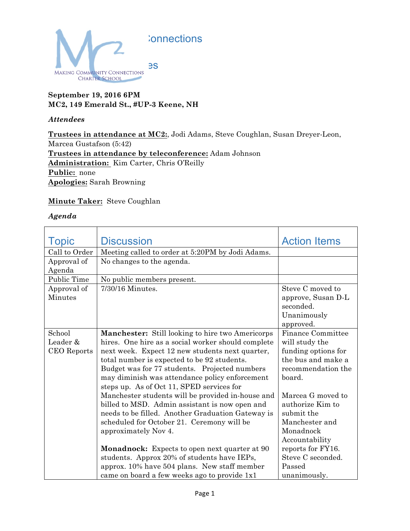

## **September 19, 2016 6PM MC2, 149 Emerald St., #UP-3 Keene, NH**

## *Attendees*

**Trustees in attendance at MC2:**, Jodi Adams, Steve Coughlan, Susan Dreyer-Leon, Marcea Gustafson (5:42) **Trustees in attendance by teleconference:** Adam Johnson **Administration:** Kim Carter, Chris O'Reilly **Public:** none **Apologies:** Sarah Browning

## **Minute Taker:** Steve Coughlan

## *Agenda*

| <b>Topic</b>       | <b>Discussion</b>                                       | <b>Action Items</b> |
|--------------------|---------------------------------------------------------|---------------------|
| Call to Order      | Meeting called to order at 5:20PM by Jodi Adams.        |                     |
| Approval of        | No changes to the agenda.                               |                     |
| Agenda             |                                                         |                     |
| Public Time        | No public members present.                              |                     |
| Approval of        | $7/30/16$ Minutes.                                      | Steve C moved to    |
| <b>Minutes</b>     |                                                         | approve, Susan D-L  |
|                    |                                                         | seconded.           |
|                    |                                                         | Unanimously         |
|                    |                                                         | approved.           |
| School             | <b>Manchester:</b> Still looking to hire two Americorps | Finance Committee   |
| Leader &           | hires. One hire as a social worker should complete      | will study the      |
| <b>CEO</b> Reports | next week. Expect 12 new students next quarter,         | funding options for |
|                    | total number is expected to be 92 students.             | the bus and make a  |
|                    | Budget was for 77 students. Projected numbers           | recommendation the  |
|                    | may diminish was attendance policy enforcement          | board.              |
|                    | steps up. As of Oct 11, SPED services for               |                     |
|                    | Manchester students will be provided in-house and       | Marcea G moved to   |
|                    | billed to MSD. Admin assistant is now open and          | authorize Kim to    |
|                    | needs to be filled. Another Graduation Gateway is       | submit the          |
|                    | scheduled for October 21. Ceremony will be              | Manchester and      |
|                    | approximately Nov 4.                                    | Monadnock           |
|                    |                                                         | Accountability      |
|                    | <b>Monadnock:</b> Expects to open next quarter at 90    | reports for FY16.   |
|                    | students. Approx 20% of students have IEPs,             | Steve C seconded.   |
|                    | approx. 10% have 504 plans. New staff member            | Passed              |
|                    | came on board a few weeks ago to provide 1x1            | unanimously.        |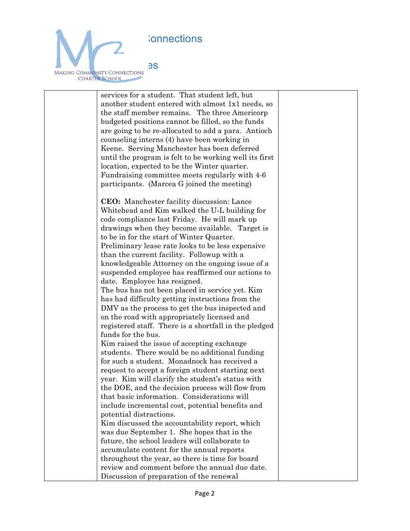;onnections



services for a student. That student left, but another student entered with almost 1x1 needs, so the staff member remains. The three Americorp budgeted positions cannot be filled, so the funds are going to be re-allocated to add a para. Antioch counseling interns (4) have been working in Keene. Serving Manchester has been deferred until the program is felt to be working well its first location, expected to be the Winter quarter. Fundraising committee meets regularly with 4-6 participants. (Marcea G joined the meeting) **CEO:** Manchester facility discussion: Lance Whitehead and Kim walked the U-L building for code compliance last Friday. He will mark up drawings when they become available. Target is to be in for the start of Winter Quarter. Preliminary lease rate looks to be less expensive than the current facility. Followup with a knowledgeable Attorney on the ongoing issue of a suspended employee has reaffirmed our actions to date. Employee has resigned. The bus has not been placed in service yet. Kim has had difficulty getting instructions from the DMV as the process to get the bus inspected and on the road with appropriately licensed and registered staff. There is a shortfall in the pledged funds for the bus. Kim raised the issue of accepting exchange students. There would be no additional funding for such a student. Monadnock has received a request to accept a foreign student starting next year. Kim will clarify the student's status with the DOE, and the decision process will flow from that basic information. Considerations will include incremental cost, potential benefits and potential distractions. Kim discussed the accountability report, which was due September 1. She hopes that in the future, the school leaders will collaborate to accumulate content for the annual reports throughout the year, so there is time for board review and comment before the annual due date. Discussion of preparation of the renewal